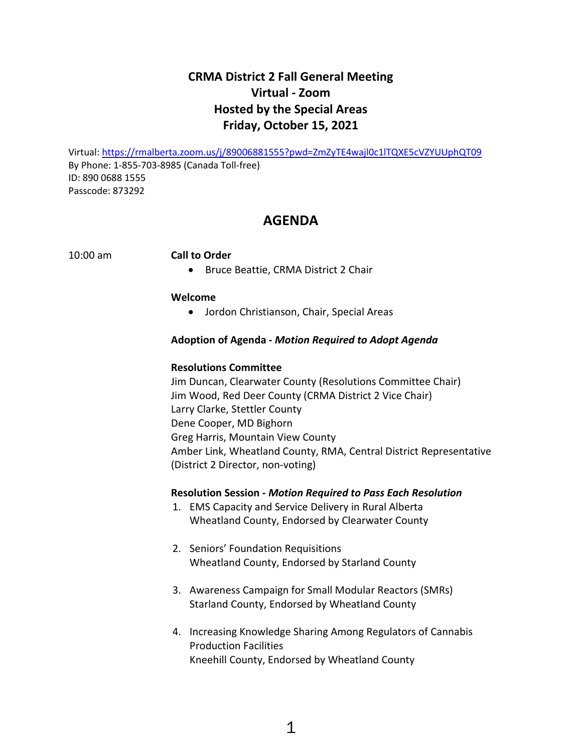# **CRMA District 2 Fall General Meeting Virtual - Zoom Hosted by the Special Areas Friday, October 15, 2021**

Virtual:<https://rmalberta.zoom.us/j/89006881555?pwd=ZmZyTE4wajl0c1lTQXE5cVZYUUphQT09> By Phone: 1-855-703-8985 (Canada Toll-free) ID: 890 0688 1555 Passcode: 873292

## **AGENDA**

## 10:00 am **Call to Order**

• Bruce Beattie, CRMA District 2 Chair

### **Welcome**

• Jordon Christianson, Chair, Special Areas

## **Adoption of Agenda -** *Motion Required to Adopt Agenda*

## **Resolutions Committee**

Jim Duncan, Clearwater County (Resolutions Committee Chair) Jim Wood, Red Deer County (CRMA District 2 Vice Chair) Larry Clarke, Stettler County Dene Cooper, MD Bighorn Greg Harris, Mountain View County Amber Link, Wheatland County, RMA, Central District Representative (District 2 Director, non-voting)

### **Resolution Session** *- Motion Required to Pass Each Resolution*

- 1. EMS Capacity and Service Delivery in Rural Alberta Wheatland County, Endorsed by Clearwater County
- 2. Seniors' Foundation Requisitions Wheatland County, Endorsed by Starland County
- 3. Awareness Campaign for Small Modular Reactors (SMRs) Starland County, Endorsed by Wheatland County
- 4. Increasing Knowledge Sharing Among Regulators of Cannabis Production Facilities Kneehill County, Endorsed by Wheatland County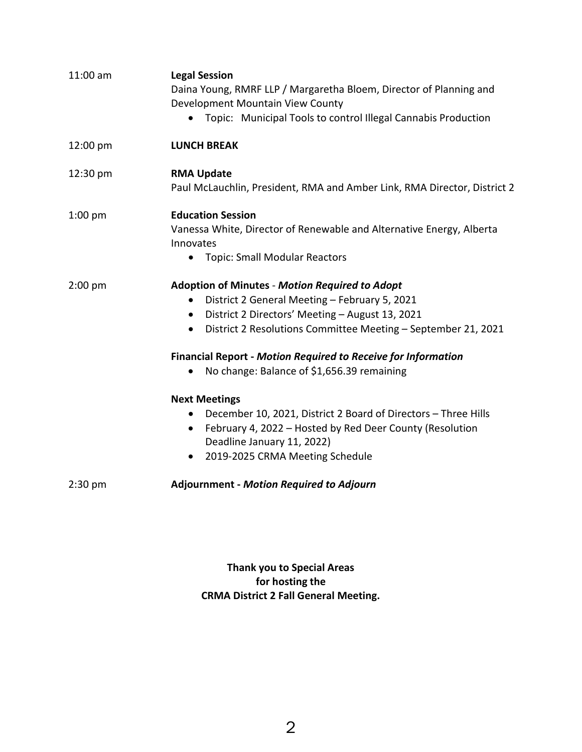| 11:00 am  | <b>Legal Session</b><br>Daina Young, RMRF LLP / Margaretha Bloem, Director of Planning and<br>Development Mountain View County<br>Topic: Municipal Tools to control Illegal Cannabis Production<br>$\bullet$                                               |
|-----------|------------------------------------------------------------------------------------------------------------------------------------------------------------------------------------------------------------------------------------------------------------|
| 12:00 pm  | <b>LUNCH BREAK</b>                                                                                                                                                                                                                                         |
| 12:30 pm  | <b>RMA Update</b><br>Paul McLauchlin, President, RMA and Amber Link, RMA Director, District 2                                                                                                                                                              |
| $1:00$ pm | <b>Education Session</b><br>Vanessa White, Director of Renewable and Alternative Energy, Alberta<br>Innovates<br><b>Topic: Small Modular Reactors</b><br>$\bullet$                                                                                         |
| $2:00$ pm | <b>Adoption of Minutes - Motion Required to Adopt</b><br>District 2 General Meeting - February 5, 2021<br>٠<br>District 2 Directors' Meeting - August 13, 2021<br>$\bullet$<br>District 2 Resolutions Committee Meeting - September 21, 2021<br>$\bullet$  |
|           | <b>Financial Report - Motion Required to Receive for Information</b><br>No change: Balance of \$1,656.39 remaining                                                                                                                                         |
|           | <b>Next Meetings</b><br>December 10, 2021, District 2 Board of Directors - Three Hills<br>$\bullet$<br>February 4, 2022 - Hosted by Red Deer County (Resolution<br>$\bullet$<br>Deadline January 11, 2022)<br>2019-2025 CRMA Meeting Schedule<br>$\bullet$ |
| $2:30$ pm | <b>Adjournment - Motion Required to Adjourn</b>                                                                                                                                                                                                            |

**Thank you to Special Areas for hosting the CRMA District 2 Fall General Meeting.**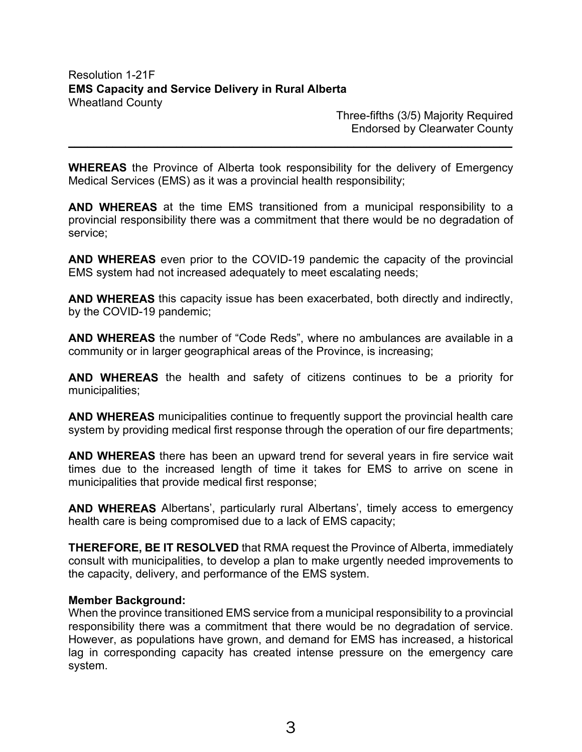Three-fifths (3/5) Majority Required Endorsed by Clearwater County

**WHEREAS** the Province of Alberta took responsibility for the delivery of Emergency Medical Services (EMS) as it was a provincial health responsibility;

**\_\_\_\_\_\_\_\_\_\_\_\_\_\_\_\_\_\_\_\_\_\_\_\_\_\_\_\_\_\_\_\_\_\_\_\_\_\_\_\_\_\_\_\_\_\_\_\_\_\_\_\_\_\_\_\_\_\_\_\_\_\_\_\_\_\_\_\_\_\_**

**AND WHEREAS** at the time EMS transitioned from a municipal responsibility to a provincial responsibility there was a commitment that there would be no degradation of service;

**AND WHEREAS** even prior to the COVID-19 pandemic the capacity of the provincial EMS system had not increased adequately to meet escalating needs;

**AND WHEREAS** this capacity issue has been exacerbated, both directly and indirectly, by the COVID-19 pandemic;

**AND WHEREAS** the number of "Code Reds", where no ambulances are available in a community or in larger geographical areas of the Province, is increasing;

**AND WHEREAS** the health and safety of citizens continues to be a priority for municipalities;

**AND WHEREAS** municipalities continue to frequently support the provincial health care system by providing medical first response through the operation of our fire departments;

**AND WHEREAS** there has been an upward trend for several years in fire service wait times due to the increased length of time it takes for EMS to arrive on scene in municipalities that provide medical first response;

**AND WHEREAS** Albertans', particularly rural Albertans', timely access to emergency health care is being compromised due to a lack of EMS capacity;

**THEREFORE, BE IT RESOLVED** that RMA request the Province of Alberta, immediately consult with municipalities, to develop a plan to make urgently needed improvements to the capacity, delivery, and performance of the EMS system.

## **Member Background:**

When the province transitioned EMS service from a municipal responsibility to a provincial responsibility there was a commitment that there would be no degradation of service. However, as populations have grown, and demand for EMS has increased, a historical lag in corresponding capacity has created intense pressure on the emergency care system.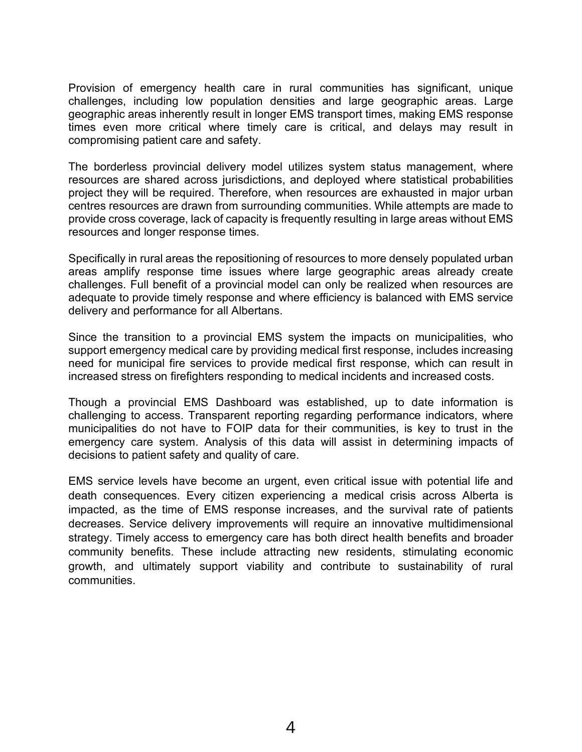Provision of emergency health care in rural communities has significant, unique challenges, including low population densities and large geographic areas. Large geographic areas inherently result in longer EMS transport times, making EMS response times even more critical where timely care is critical, and delays may result in compromising patient care and safety.

The borderless provincial delivery model utilizes system status management, where resources are shared across jurisdictions, and deployed where statistical probabilities project they will be required. Therefore, when resources are exhausted in major urban centres resources are drawn from surrounding communities. While attempts are made to provide cross coverage, lack of capacity is frequently resulting in large areas without EMS resources and longer response times.

Specifically in rural areas the repositioning of resources to more densely populated urban areas amplify response time issues where large geographic areas already create challenges. Full benefit of a provincial model can only be realized when resources are adequate to provide timely response and where efficiency is balanced with EMS service delivery and performance for all Albertans.

Since the transition to a provincial EMS system the impacts on municipalities, who support emergency medical care by providing medical first response, includes increasing need for municipal fire services to provide medical first response, which can result in increased stress on firefighters responding to medical incidents and increased costs.

Though a provincial EMS Dashboard was established, up to date information is challenging to access. Transparent reporting regarding performance indicators, where municipalities do not have to FOIP data for their communities, is key to trust in the emergency care system. Analysis of this data will assist in determining impacts of decisions to patient safety and quality of care.

EMS service levels have become an urgent, even critical issue with potential life and death consequences. Every citizen experiencing a medical crisis across Alberta is impacted, as the time of EMS response increases, and the survival rate of patients decreases. Service delivery improvements will require an innovative multidimensional strategy. Timely access to emergency care has both direct health benefits and broader community benefits. These include attracting new residents, stimulating economic growth, and ultimately support viability and contribute to sustainability of rural communities.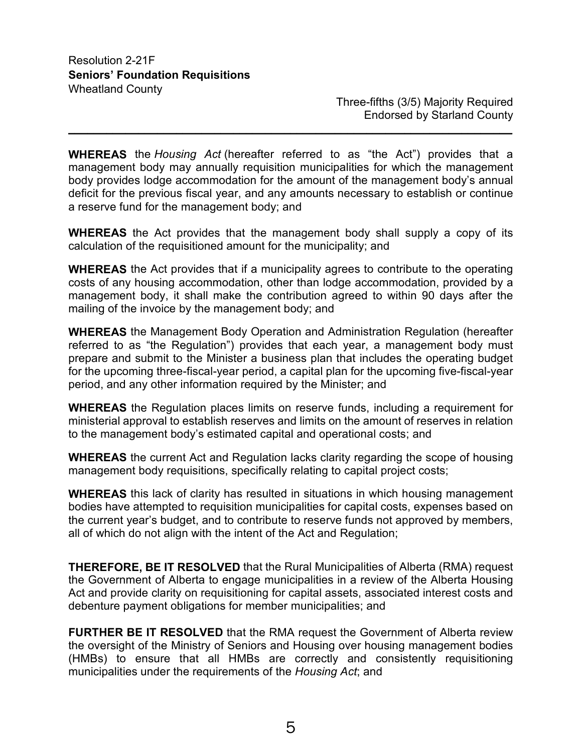Three-fifths (3/5) Majority Required Endorsed by Starland County

**WHEREAS** the *Housing Act* (hereafter referred to as "the Act") provides that a management body may annually requisition municipalities for which the management body provides lodge accommodation for the amount of the management body's annual deficit for the previous fiscal year, and any amounts necessary to establish or continue a reserve fund for the management body; and

**\_\_\_\_\_\_\_\_\_\_\_\_\_\_\_\_\_\_\_\_\_\_\_\_\_\_\_\_\_\_\_\_\_\_\_\_\_\_\_\_\_\_\_\_\_\_\_\_\_\_\_\_\_\_\_\_\_\_\_\_\_\_\_\_\_\_\_\_\_\_**

**WHEREAS** the Act provides that the management body shall supply a copy of its calculation of the requisitioned amount for the municipality; and

**WHEREAS** the Act provides that if a municipality agrees to contribute to the operating costs of any housing accommodation, other than lodge accommodation, provided by a management body, it shall make the contribution agreed to within 90 days after the mailing of the invoice by the management body; and

**WHEREAS** the Management Body Operation and Administration Regulation (hereafter referred to as "the Regulation") provides that each year, a management body must prepare and submit to the Minister a business plan that includes the operating budget for the upcoming three-fiscal-year period, a capital plan for the upcoming five-fiscal-year period, and any other information required by the Minister; and

**WHEREAS** the Regulation places limits on reserve funds, including a requirement for ministerial approval to establish reserves and limits on the amount of reserves in relation to the management body's estimated capital and operational costs; and

**WHEREAS** the current Act and Regulation lacks clarity regarding the scope of housing management body requisitions, specifically relating to capital project costs;

**WHEREAS** this lack of clarity has resulted in situations in which housing management bodies have attempted to requisition municipalities for capital costs, expenses based on the current year's budget, and to contribute to reserve funds not approved by members, all of which do not align with the intent of the Act and Regulation;

**THEREFORE, BE IT RESOLVED** that the Rural Municipalities of Alberta (RMA) request the Government of Alberta to engage municipalities in a review of the Alberta Housing Act and provide clarity on requisitioning for capital assets, associated interest costs and debenture payment obligations for member municipalities; and

**FURTHER BE IT RESOLVED** that the RMA request the Government of Alberta review the oversight of the Ministry of Seniors and Housing over housing management bodies (HMBs) to ensure that all HMBs are correctly and consistently requisitioning municipalities under the requirements of the *Housing Act*; and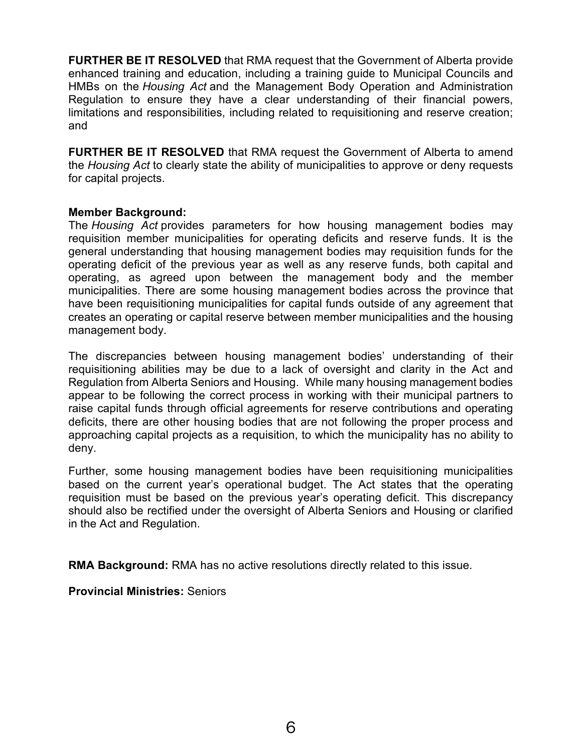**FURTHER BE IT RESOLVED** that RMA request that the Government of Alberta provide enhanced training and education, including a training guide to Municipal Councils and HMBs on the *Housing Act* and the Management Body Operation and Administration Regulation to ensure they have a clear understanding of their financial powers, limitations and responsibilities, including related to requisitioning and reserve creation; and

**FURTHER BE IT RESOLVED** that RMA request the Government of Alberta to amend the *Housing Act* to clearly state the ability of municipalities to approve or deny requests for capital projects.

## **Member Background:**

The *Housing Act* provides parameters for how housing management bodies may requisition member municipalities for operating deficits and reserve funds. It is the general understanding that housing management bodies may requisition funds for the operating deficit of the previous year as well as any reserve funds, both capital and operating, as agreed upon between the management body and the member municipalities. There are some housing management bodies across the province that have been requisitioning municipalities for capital funds outside of any agreement that creates an operating or capital reserve between member municipalities and the housing management body.

The discrepancies between housing management bodies' understanding of their requisitioning abilities may be due to a lack of oversight and clarity in the Act and Regulation from Alberta Seniors and Housing. While many housing management bodies appear to be following the correct process in working with their municipal partners to raise capital funds through official agreements for reserve contributions and operating deficits, there are other housing bodies that are not following the proper process and approaching capital projects as a requisition, to which the municipality has no ability to deny.

Further, some housing management bodies have been requisitioning municipalities based on the current year's operational budget. The Act states that the operating requisition must be based on the previous year's operating deficit. This discrepancy should also be rectified under the oversight of Alberta Seniors and Housing or clarified in the Act and Regulation.

**RMA Background:** RMA has no active resolutions directly related to this issue.

**Provincial Ministries:** Seniors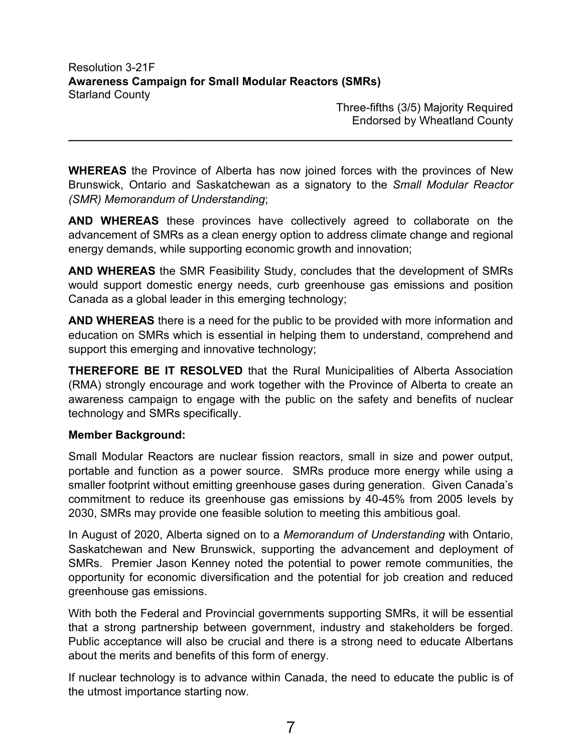Three-fifths (3/5) Majority Required Endorsed by Wheatland County

**WHEREAS** the Province of Alberta has now joined forces with the provinces of New Brunswick, Ontario and Saskatchewan as a signatory to the *Small Modular Reactor (SMR) Memorandum of Understanding*;

**\_\_\_\_\_\_\_\_\_\_\_\_\_\_\_\_\_\_\_\_\_\_\_\_\_\_\_\_\_\_\_\_\_\_\_\_\_\_\_\_\_\_\_\_\_\_\_\_\_\_\_\_\_\_\_\_\_\_\_\_\_\_\_\_\_\_\_\_\_\_**

**AND WHEREAS** these provinces have collectively agreed to collaborate on the advancement of SMRs as a clean energy option to address climate change and regional energy demands, while supporting economic growth and innovation;

**AND WHEREAS** the SMR Feasibility Study, concludes that the development of SMRs would support domestic energy needs, curb greenhouse gas emissions and position Canada as a global leader in this emerging technology;

**AND WHEREAS** there is a need for the public to be provided with more information and education on SMRs which is essential in helping them to understand, comprehend and support this emerging and innovative technology;

**THEREFORE BE IT RESOLVED** that the Rural Municipalities of Alberta Association (RMA) strongly encourage and work together with the Province of Alberta to create an awareness campaign to engage with the public on the safety and benefits of nuclear technology and SMRs specifically.

## **Member Background:**

Small Modular Reactors are nuclear fission reactors, small in size and power output, portable and function as a power source. SMRs produce more energy while using a smaller footprint without emitting greenhouse gases during generation. Given Canada's commitment to reduce its greenhouse gas emissions by 40-45% from 2005 levels by 2030, SMRs may provide one feasible solution to meeting this ambitious goal.

In August of 2020, Alberta signed on to a *Memorandum of Understanding* with Ontario, Saskatchewan and New Brunswick, supporting the advancement and deployment of SMRs. Premier Jason Kenney noted the potential to power remote communities, the opportunity for economic diversification and the potential for job creation and reduced greenhouse gas emissions.

With both the Federal and Provincial governments supporting SMRs, it will be essential that a strong partnership between government, industry and stakeholders be forged. Public acceptance will also be crucial and there is a strong need to educate Albertans about the merits and benefits of this form of energy.

If nuclear technology is to advance within Canada, the need to educate the public is of the utmost importance starting now.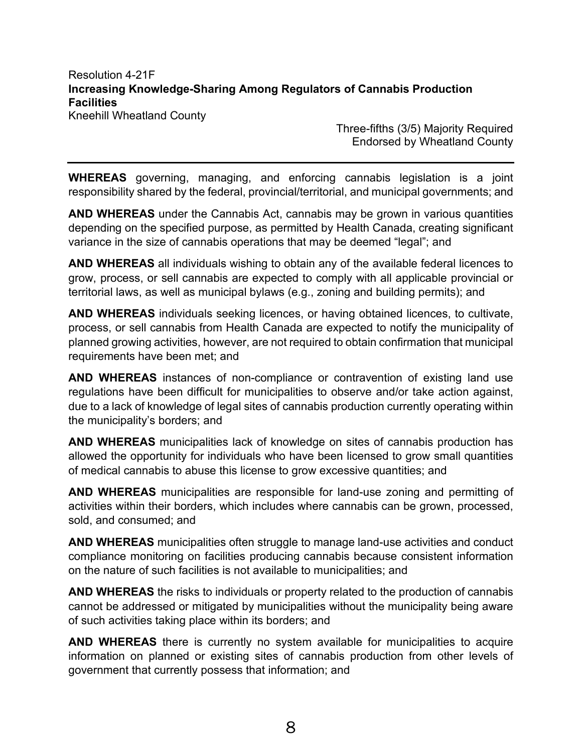Resolution 4-21F **Increasing Knowledge-Sharing Among Regulators of Cannabis Production Facilities**  Kneehill Wheatland County

> Three-fifths (3/5) Majority Required Endorsed by Wheatland County

**WHEREAS** governing, managing, and enforcing cannabis legislation is a joint responsibility shared by the federal, provincial/territorial, and municipal governments; and

**AND WHEREAS** under the Cannabis Act, cannabis may be grown in various quantities depending on the specified purpose, as permitted by Health Canada, creating significant variance in the size of cannabis operations that may be deemed "legal"; and

**AND WHEREAS** all individuals wishing to obtain any of the available federal licences to grow, process, or sell cannabis are expected to comply with all applicable provincial or territorial laws, as well as municipal bylaws (e.g., zoning and building permits); and

**AND WHEREAS** individuals seeking licences, or having obtained licences, to cultivate, process, or sell cannabis from Health Canada are expected to notify the municipality of planned growing activities, however, are not required to obtain confirmation that municipal requirements have been met; and

**AND WHEREAS** instances of non-compliance or contravention of existing land use regulations have been difficult for municipalities to observe and/or take action against, due to a lack of knowledge of legal sites of cannabis production currently operating within the municipality's borders; and

**AND WHEREAS** municipalities lack of knowledge on sites of cannabis production has allowed the opportunity for individuals who have been licensed to grow small quantities of medical cannabis to abuse this license to grow excessive quantities; and

**AND WHEREAS** municipalities are responsible for land-use zoning and permitting of activities within their borders, which includes where cannabis can be grown, processed, sold, and consumed; and

**AND WHEREAS** municipalities often struggle to manage land-use activities and conduct compliance monitoring on facilities producing cannabis because consistent information on the nature of such facilities is not available to municipalities; and

**AND WHEREAS** the risks to individuals or property related to the production of cannabis cannot be addressed or mitigated by municipalities without the municipality being aware of such activities taking place within its borders; and

**AND WHEREAS** there is currently no system available for municipalities to acquire information on planned or existing sites of cannabis production from other levels of government that currently possess that information; and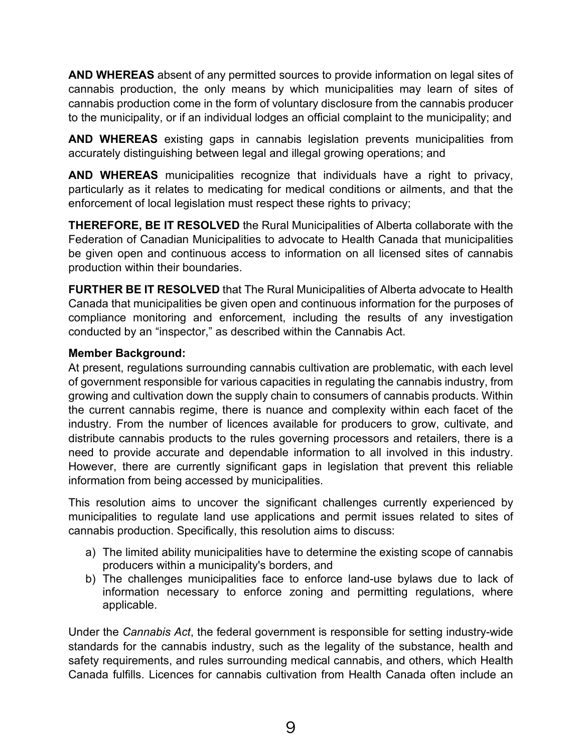**AND WHEREAS** absent of any permitted sources to provide information on legal sites of cannabis production, the only means by which municipalities may learn of sites of cannabis production come in the form of voluntary disclosure from the cannabis producer to the municipality, or if an individual lodges an official complaint to the municipality; and

**AND WHEREAS** existing gaps in cannabis legislation prevents municipalities from accurately distinguishing between legal and illegal growing operations; and

**AND WHEREAS** municipalities recognize that individuals have a right to privacy, particularly as it relates to medicating for medical conditions or ailments, and that the enforcement of local legislation must respect these rights to privacy;

**THEREFORE, BE IT RESOLVED** the Rural Municipalities of Alberta collaborate with the Federation of Canadian Municipalities to advocate to Health Canada that municipalities be given open and continuous access to information on all licensed sites of cannabis production within their boundaries.

**FURTHER BE IT RESOLVED** that The Rural Municipalities of Alberta advocate to Health Canada that municipalities be given open and continuous information for the purposes of compliance monitoring and enforcement, including the results of any investigation conducted by an "inspector," as described within the Cannabis Act.

## **Member Background:**

At present, regulations surrounding cannabis cultivation are problematic, with each level of government responsible for various capacities in regulating the cannabis industry, from growing and cultivation down the supply chain to consumers of cannabis products. Within the current cannabis regime, there is nuance and complexity within each facet of the industry. From the number of licences available for producers to grow, cultivate, and distribute cannabis products to the rules governing processors and retailers, there is a need to provide accurate and dependable information to all involved in this industry. However, there are currently significant gaps in legislation that prevent this reliable information from being accessed by municipalities.

This resolution aims to uncover the significant challenges currently experienced by municipalities to regulate land use applications and permit issues related to sites of cannabis production. Specifically, this resolution aims to discuss:

- a) The limited ability municipalities have to determine the existing scope of cannabis producers within a municipality's borders, and
- b) The challenges municipalities face to enforce land-use bylaws due to lack of information necessary to enforce zoning and permitting regulations, where applicable.

Under the *Cannabis Act*, the federal government is responsible for setting industry-wide standards for the cannabis industry, such as the legality of the substance, health and safety requirements, and rules surrounding medical cannabis, and others, which Health Canada fulfills. Licences for cannabis cultivation from Health Canada often include an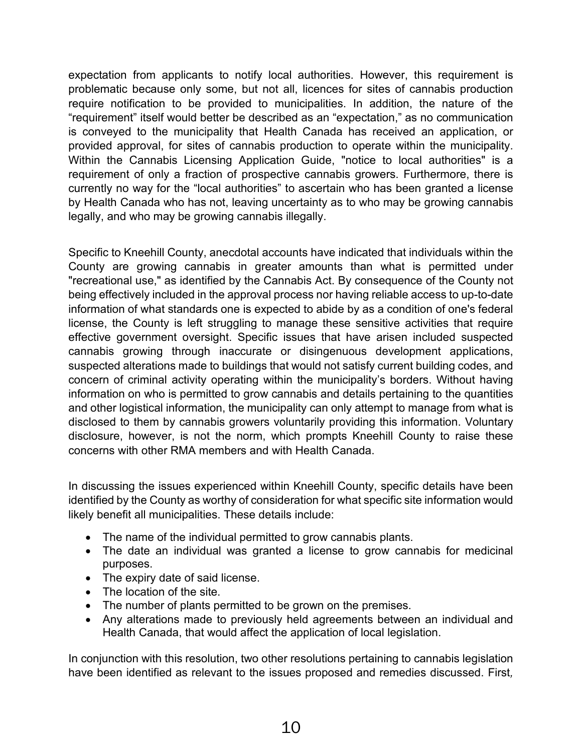expectation from applicants to notify local authorities. However, this requirement is problematic because only some, but not all, licences for sites of cannabis production require notification to be provided to municipalities. In addition, the nature of the "requirement" itself would better be described as an "expectation," as no communication is conveyed to the municipality that Health Canada has received an application, or provided approval, for sites of cannabis production to operate within the municipality. Within the Cannabis Licensing Application Guide, "notice to local authorities" is a requirement of only a fraction of prospective cannabis growers. Furthermore, there is currently no way for the "local authorities" to ascertain who has been granted a license by Health Canada who has not, leaving uncertainty as to who may be growing cannabis legally, and who may be growing cannabis illegally.

Specific to Kneehill County, anecdotal accounts have indicated that individuals within the County are growing cannabis in greater amounts than what is permitted under "recreational use," as identified by the Cannabis Act. By consequence of the County not being effectively included in the approval process nor having reliable access to up-to-date information of what standards one is expected to abide by as a condition of one's federal license, the County is left struggling to manage these sensitive activities that require effective government oversight. Specific issues that have arisen included suspected cannabis growing through inaccurate or disingenuous development applications, suspected alterations made to buildings that would not satisfy current building codes, and concern of criminal activity operating within the municipality's borders. Without having information on who is permitted to grow cannabis and details pertaining to the quantities and other logistical information, the municipality can only attempt to manage from what is disclosed to them by cannabis growers voluntarily providing this information. Voluntary disclosure, however, is not the norm, which prompts Kneehill County to raise these concerns with other RMA members and with Health Canada.

In discussing the issues experienced within Kneehill County, specific details have been identified by the County as worthy of consideration for what specific site information would likely benefit all municipalities. These details include:

- The name of the individual permitted to grow cannabis plants.
- The date an individual was granted a license to grow cannabis for medicinal purposes.
- The expiry date of said license.
- The location of the site.
- The number of plants permitted to be grown on the premises.
- Any alterations made to previously held agreements between an individual and Health Canada, that would affect the application of local legislation.

In conjunction with this resolution, two other resolutions pertaining to cannabis legislation have been identified as relevant to the issues proposed and remedies discussed. First*,*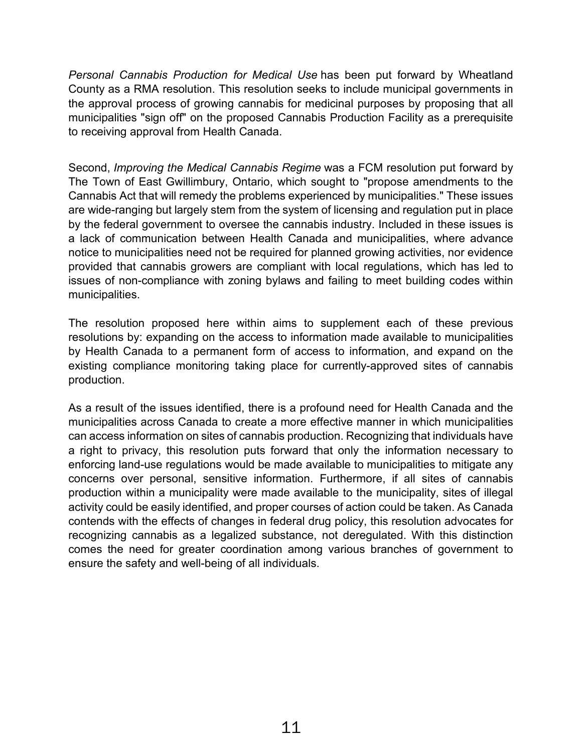*Personal Cannabis Production for Medical Use* has been put forward by Wheatland County as a RMA resolution. This resolution seeks to include municipal governments in the approval process of growing cannabis for medicinal purposes by proposing that all municipalities "sign off" on the proposed Cannabis Production Facility as a prerequisite to receiving approval from Health Canada.

Second, *Improving the Medical Cannabis Regime* was a FCM resolution put forward by The Town of East Gwillimbury, Ontario, which sought to "propose amendments to the Cannabis Act that will remedy the problems experienced by municipalities." These issues are wide-ranging but largely stem from the system of licensing and regulation put in place by the federal government to oversee the cannabis industry. Included in these issues is a lack of communication between Health Canada and municipalities, where advance notice to municipalities need not be required for planned growing activities, nor evidence provided that cannabis growers are compliant with local regulations, which has led to issues of non-compliance with zoning bylaws and failing to meet building codes within municipalities.

The resolution proposed here within aims to supplement each of these previous resolutions by: expanding on the access to information made available to municipalities by Health Canada to a permanent form of access to information, and expand on the existing compliance monitoring taking place for currently-approved sites of cannabis production.

As a result of the issues identified, there is a profound need for Health Canada and the municipalities across Canada to create a more effective manner in which municipalities can access information on sites of cannabis production. Recognizing that individuals have a right to privacy, this resolution puts forward that only the information necessary to enforcing land-use regulations would be made available to municipalities to mitigate any concerns over personal, sensitive information. Furthermore, if all sites of cannabis production within a municipality were made available to the municipality, sites of illegal activity could be easily identified, and proper courses of action could be taken. As Canada contends with the effects of changes in federal drug policy, this resolution advocates for recognizing cannabis as a legalized substance, not deregulated. With this distinction comes the need for greater coordination among various branches of government to ensure the safety and well-being of all individuals.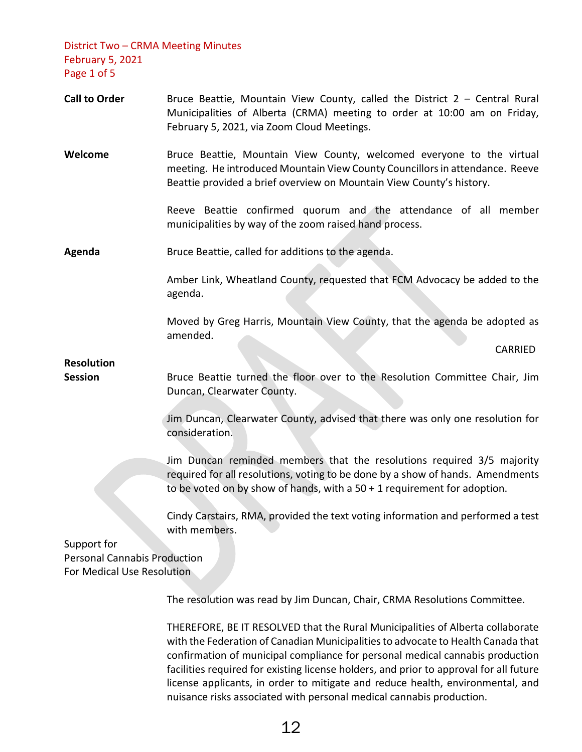District Two – CRMA Meeting Minutes February 5, 2021 Page 1 of 5

- Call to Order **Bruce Beattie, Mountain View County, called the District 2 Central Rural** Municipalities of Alberta (CRMA) meeting to order at 10:00 am on Friday, February 5, 2021, via Zoom Cloud Meetings.
- **Welcome** Bruce Beattie, Mountain View County, welcomed everyone to the virtual meeting. He introduced Mountain View County Councillors in attendance. Reeve Beattie provided a brief overview on Mountain View County's history.

Reeve Beattie confirmed quorum and the attendance of all member municipalities by way of the zoom raised hand process.

**Agenda** Bruce Beattie, called for additions to the agenda.

Amber Link, Wheatland County, requested that FCM Advocacy be added to the agenda.

Moved by Greg Harris, Mountain View County, that the agenda be adopted as amended.

CARRIED

**Resolution** 

**Session** Bruce Beattie turned the floor over to the Resolution Committee Chair, Jim Duncan, Clearwater County.

> Jim Duncan, Clearwater County, advised that there was only one resolution for consideration.

> Jim Duncan reminded members that the resolutions required 3/5 majority required for all resolutions, voting to be done by a show of hands. Amendments to be voted on by show of hands, with a 50 + 1 requirement for adoption.

> Cindy Carstairs, RMA, provided the text voting information and performed a test with members.

Support for Personal Cannabis Production For Medical Use Resolution

The resolution was read by Jim Duncan, Chair, CRMA Resolutions Committee.

THEREFORE, BE IT RESOLVED that the Rural Municipalities of Alberta collaborate with the Federation of Canadian Municipalities to advocate to Health Canada that confirmation of municipal compliance for personal medical cannabis production facilities required for existing license holders, and prior to approval for all future license applicants, in order to mitigate and reduce health, environmental, and nuisance risks associated with personal medical cannabis production.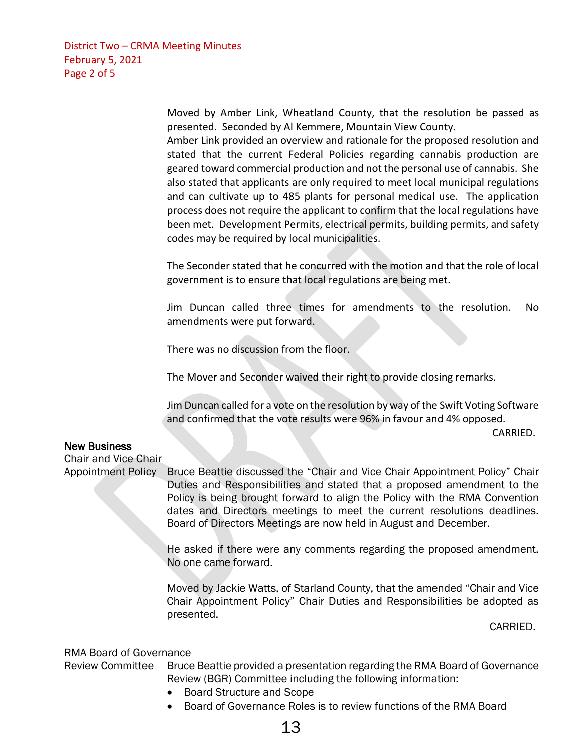District Two – CRMA Meeting Minutes February 5, 2021 Page 2 of 5

> Moved by Amber Link, Wheatland County, that the resolution be passed as presented. Seconded by Al Kemmere, Mountain View County.

> Amber Link provided an overview and rationale for the proposed resolution and stated that the current Federal Policies regarding cannabis production are geared toward commercial production and not the personal use of cannabis. She also stated that applicants are only required to meet local municipal regulations and can cultivate up to 485 plants for personal medical use. The application process does not require the applicant to confirm that the local regulations have been met. Development Permits, electrical permits, building permits, and safety codes may be required by local municipalities.

> The Seconder stated that he concurred with the motion and that the role of local government is to ensure that local regulations are being met.

> Jim Duncan called three times for amendments to the resolution. No amendments were put forward.

There was no discussion from the floor.

The Mover and Seconder waived their right to provide closing remarks.

Jim Duncan called for a vote on the resolution by way of the Swift Voting Software and confirmed that the vote results were 96% in favour and 4% opposed.

CARRIED.

## New Business

Chair and Vice Chair

Appointment Policy Bruce Beattie discussed the "Chair and Vice Chair Appointment Policy" Chair Duties and Responsibilities and stated that a proposed amendment to the Policy is being brought forward to align the Policy with the RMA Convention dates and Directors meetings to meet the current resolutions deadlines. Board of Directors Meetings are now held in August and December.

> He asked if there were any comments regarding the proposed amendment. No one came forward.

> Moved by Jackie Watts, of Starland County, that the amended "Chair and Vice Chair Appointment Policy" Chair Duties and Responsibilities be adopted as presented.

> > CARRIED.

## RMA Board of Governance

Review Committee Bruce Beattie provided a presentation regarding the RMA Board of Governance Review (BGR) Committee including the following information:

- Board Structure and Scope
- Board of Governance Roles is to review functions of the RMA Board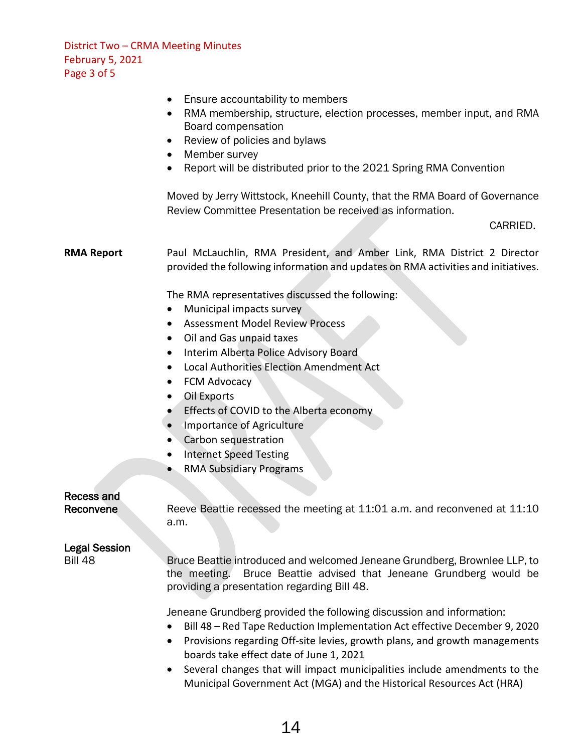District Two – CRMA Meeting Minutes February 5, 2021 Page 3 of 5

- Ensure accountability to members
- RMA membership, structure, election processes, member input, and RMA Board compensation
- Review of policies and bylaws
- Member survey
- Report will be distributed prior to the 2021 Spring RMA Convention

Moved by Jerry Wittstock, Kneehill County, that the RMA Board of Governance Review Committee Presentation be received as information.

#### CARRIED.

**RMA Report** Paul McLauchlin, RMA President, and Amber Link, RMA District 2 Director provided the following information and updates on RMA activities and initiatives.

The RMA representatives discussed the following:

- Municipal impacts survey
- Assessment Model Review Process
- Oil and Gas unpaid taxes
- Interim Alberta Police Advisory Board
- Local Authorities Election Amendment Act
- FCM Advocacy
- Oil Exports
- Effects of COVID to the Alberta economy
- Importance of Agriculture
- Carbon sequestration
- Internet Speed Testing
- RMA Subsidiary Programs

# Recess and

Reconvene Reeve Beattie recessed the meeting at 11:01 a.m. and reconvened at 11:10 a.m.

### Legal Session

Bill 48 Bruce Beattie introduced and welcomed Jeneane Grundberg, Brownlee LLP, to the meeting. Bruce Beattie advised that Jeneane Grundberg would be providing a presentation regarding Bill 48.

Jeneane Grundberg provided the following discussion and information:

- Bill 48 Red Tape Reduction Implementation Act effective December 9, 2020
- Provisions regarding Off-site levies, growth plans, and growth managements boards take effect date of June 1, 2021
- Several changes that will impact municipalities include amendments to the Municipal Government Act (MGA) and the Historical Resources Act (HRA)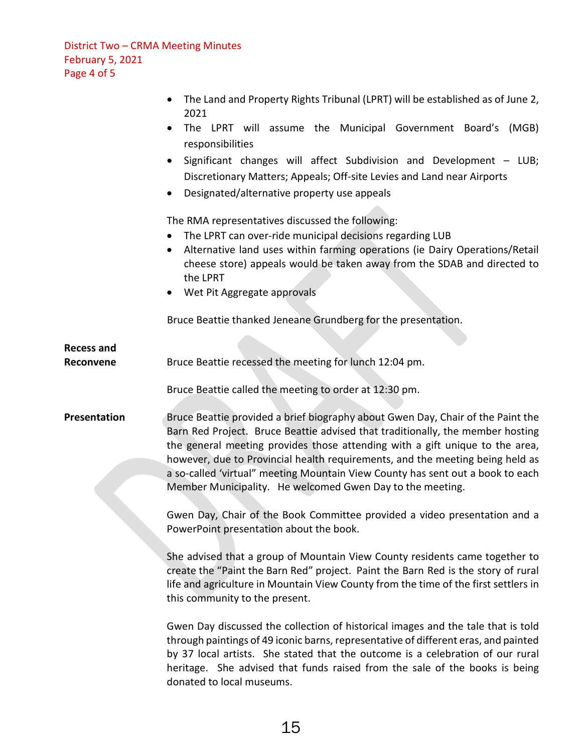District Two – CRMA Meeting Minutes February 5, 2021 Page 4 of 5

**Recess and**

| • The Land and Property Rights Tribunal (LPRT) will be established as of June 2, |
|----------------------------------------------------------------------------------|
| 2021                                                                             |

• The LPRT will assume the Municipal Government Board's (MGB) responsibilities

• Significant changes will affect Subdivision and Development – LUB; Discretionary Matters; Appeals; Off-site Levies and Land near Airports

• Designated/alternative property use appeals

The RMA representatives discussed the following:

- The LPRT can over-ride municipal decisions regarding LUB
- Alternative land uses within farming operations (ie Dairy Operations/Retail cheese store) appeals would be taken away from the SDAB and directed to the LPRT
- Wet Pit Aggregate approvals

Bruce Beattie thanked Jeneane Grundberg for the presentation.

**Reconvene** Bruce Beattie recessed the meeting for lunch 12:04 pm.

Bruce Beattie called the meeting to order at 12:30 pm.

**Presentation** Bruce Beattie provided a brief biography about Gwen Day, Chair of the Paint the Barn Red Project. Bruce Beattie advised that traditionally, the member hosting the general meeting provides those attending with a gift unique to the area, however, due to Provincial health requirements, and the meeting being held as a so-called 'virtual" meeting Mountain View County has sent out a book to each Member Municipality. He welcomed Gwen Day to the meeting.

> Gwen Day, Chair of the Book Committee provided a video presentation and a PowerPoint presentation about the book.

> She advised that a group of Mountain View County residents came together to create the "Paint the Barn Red" project. Paint the Barn Red is the story of rural life and agriculture in Mountain View County from the time of the first settlers in this community to the present.

> Gwen Day discussed the collection of historical images and the tale that is told through paintings of 49 iconic barns, representative of different eras, and painted by 37 local artists. She stated that the outcome is a celebration of our rural heritage. She advised that funds raised from the sale of the books is being donated to local museums.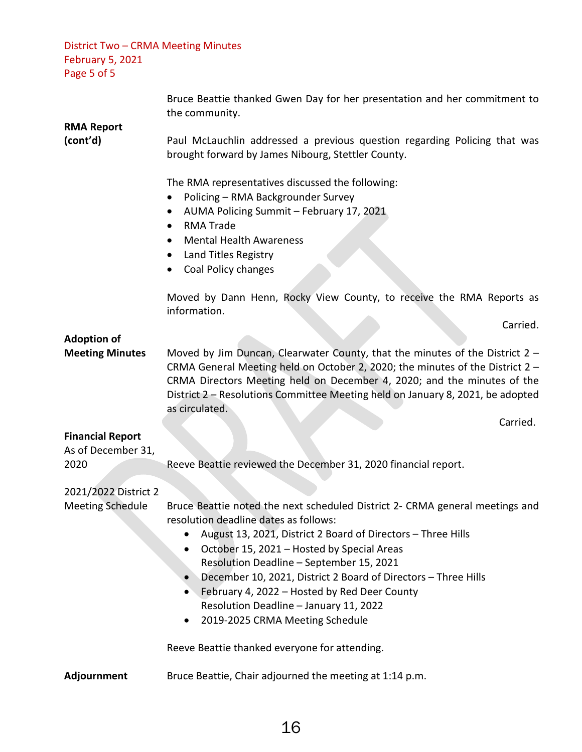| District Two - CRMA Meeting Minutes<br><b>February 5, 2021</b><br>Page 5 of 5 |                                                                                                                                                                                                                                                                                                                                                                                                                                                                                             |
|-------------------------------------------------------------------------------|---------------------------------------------------------------------------------------------------------------------------------------------------------------------------------------------------------------------------------------------------------------------------------------------------------------------------------------------------------------------------------------------------------------------------------------------------------------------------------------------|
| <b>RMA Report</b>                                                             | Bruce Beattie thanked Gwen Day for her presentation and her commitment to<br>the community.                                                                                                                                                                                                                                                                                                                                                                                                 |
| (cont'd)                                                                      | Paul McLauchlin addressed a previous question regarding Policing that was<br>brought forward by James Nibourg, Stettler County.                                                                                                                                                                                                                                                                                                                                                             |
|                                                                               | The RMA representatives discussed the following:<br>Policing - RMA Backgrounder Survey<br>$\bullet$<br>AUMA Policing Summit - February 17, 2021<br><b>RMA Trade</b><br>$\bullet$<br><b>Mental Health Awareness</b><br>$\bullet$<br>Land Titles Registry<br>$\bullet$<br>Coal Policy changes                                                                                                                                                                                                 |
|                                                                               | Moved by Dann Henn, Rocky View County, to receive the RMA Reports as<br>information.                                                                                                                                                                                                                                                                                                                                                                                                        |
| <b>Adoption of</b>                                                            | Carried.                                                                                                                                                                                                                                                                                                                                                                                                                                                                                    |
| <b>Meeting Minutes</b>                                                        | Moved by Jim Duncan, Clearwater County, that the minutes of the District 2 -<br>CRMA General Meeting held on October 2, 2020; the minutes of the District 2 -<br>CRMA Directors Meeting held on December 4, 2020; and the minutes of the<br>District 2 - Resolutions Committee Meeting held on January 8, 2021, be adopted<br>as circulated.<br>Carried.                                                                                                                                    |
| <b>Financial Report</b><br>As of December 31,                                 |                                                                                                                                                                                                                                                                                                                                                                                                                                                                                             |
| 2020                                                                          | Reeve Beattie reviewed the December 31, 2020 financial report.                                                                                                                                                                                                                                                                                                                                                                                                                              |
| 2021/2022 District 2                                                          |                                                                                                                                                                                                                                                                                                                                                                                                                                                                                             |
| <b>Meeting Schedule</b>                                                       | Bruce Beattie noted the next scheduled District 2- CRMA general meetings and<br>resolution deadline dates as follows:<br>August 13, 2021, District 2 Board of Directors - Three Hills<br>October 15, 2021 - Hosted by Special Areas<br>Resolution Deadline - September 15, 2021<br>December 10, 2021, District 2 Board of Directors - Three Hills<br>February 4, 2022 - Hosted by Red Deer County<br>Resolution Deadline - January 11, 2022<br>2019-2025 CRMA Meeting Schedule<br>$\bullet$ |
|                                                                               | Reeve Beattie thanked everyone for attending.                                                                                                                                                                                                                                                                                                                                                                                                                                               |
| Adjournment                                                                   | Bruce Beattie, Chair adjourned the meeting at 1:14 p.m.                                                                                                                                                                                                                                                                                                                                                                                                                                     |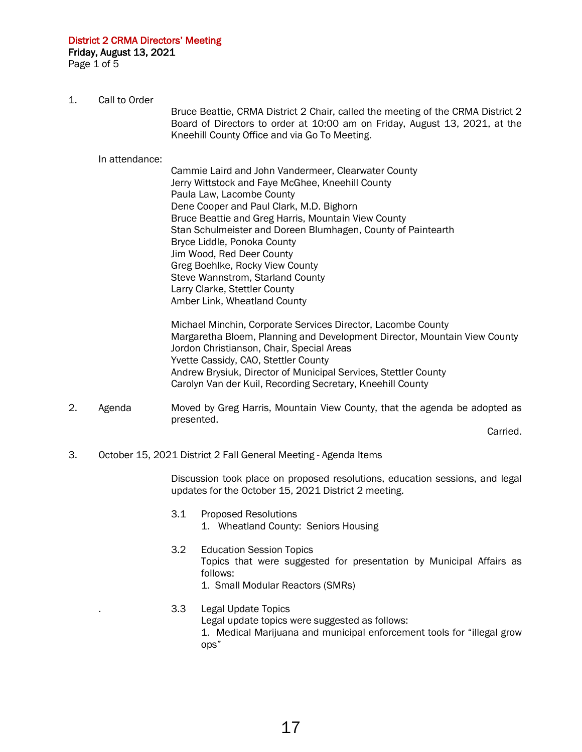District 2 CRMA Directors' Meeting Friday, August 13, 2021

Page 1 of 5

1. Call to Order

 Bruce Beattie, CRMA District 2 Chair, called the meeting of the CRMA District 2 Board of Directors to order at 10:00 am on Friday, August 13, 2021, at the Kneehill County Office and via Go To Meeting.

In attendance:

 Cammie Laird and John Vandermeer, Clearwater County Jerry Wittstock and Faye McGhee, Kneehill County Paula Law, Lacombe County Dene Cooper and Paul Clark, M.D. Bighorn Bruce Beattie and Greg Harris, Mountain View County Stan Schulmeister and Doreen Blumhagen, County of Paintearth Bryce Liddle, Ponoka County Jim Wood, Red Deer County Greg Boehlke, Rocky View County Steve Wannstrom, Starland County Larry Clarke, Stettler County Amber Link, Wheatland County

 Michael Minchin, Corporate Services Director, Lacombe County Margaretha Bloem, Planning and Development Director, Mountain View County Jordon Christianson, Chair, Special Areas Yvette Cassidy, CAO, Stettler County Andrew Brysiuk, Director of Municipal Services, Stettler County Carolyn Van der Kuil, Recording Secretary, Kneehill County

2. Agenda Moved by Greg Harris, Mountain View County, that the agenda be adopted as presented.

**Carried.** The contract of the contract of the contract of the contract of the contract of the contract of the contract of the contract of the contract of the contract of the contract of the contract of the contract of the

3. October 15, 2021 District 2 Fall General Meeting - Agenda Items

 Discussion took place on proposed resolutions, education sessions, and legal updates for the October 15, 2021 District 2 meeting.

- 3.1 Proposed Resolutions 1. Wheatland County: Seniors Housing
- 3.2 Education Session Topics Topics that were suggested for presentation by Municipal Affairs as follows: 1. Small Modular Reactors (SMRs)
- . 3.3 Legal Update Topics
	- Legal update topics were suggested as follows:

 1. Medical Marijuana and municipal enforcement tools for "illegal grow ops"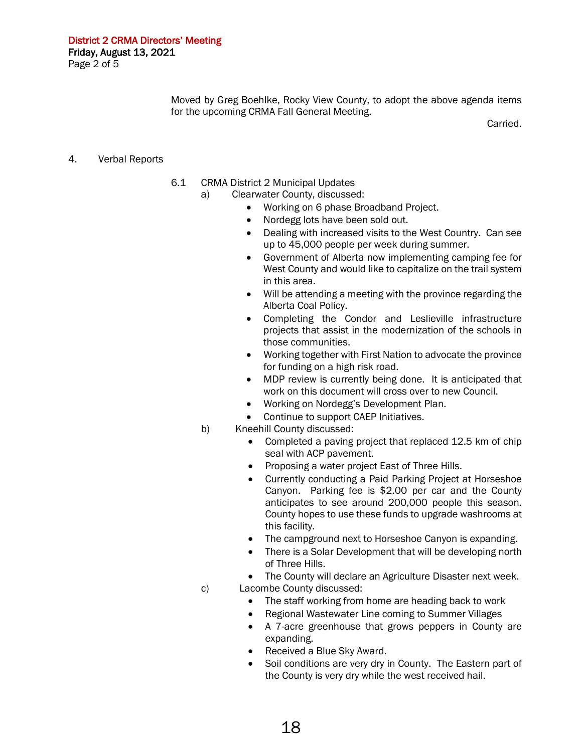Moved by Greg Boehlke, Rocky View County, to adopt the above agenda items for the upcoming CRMA Fall General Meeting.

Carried.

- 4. Verbal Reports
- 6.1 CRMA District 2 Municipal Updates
	- a) Clearwater County, discussed:
		- Working on 6 phase Broadband Project.
		- Nordegg lots have been sold out.
		- Dealing with increased visits to the West Country. Can see up to 45,000 people per week during summer.
		- Government of Alberta now implementing camping fee for West County and would like to capitalize on the trail system in this area.
		- Will be attending a meeting with the province regarding the Alberta Coal Policy.
		- Completing the Condor and Leslieville infrastructure projects that assist in the modernization of the schools in those communities.
		- Working together with First Nation to advocate the province for funding on a high risk road.
		- MDP review is currently being done. It is anticipated that work on this document will cross over to new Council.
		- Working on Nordegg's Development Plan.
		- Continue to support CAEP Initiatives.
	- b) Kneehill County discussed:
		- Completed a paving project that replaced 12.5 km of chip seal with ACP pavement.
		- Proposing a water project East of Three Hills.
		- Currently conducting a Paid Parking Project at Horseshoe Canyon. Parking fee is \$2.00 per car and the County anticipates to see around 200,000 people this season. County hopes to use these funds to upgrade washrooms at this facility.
		- The campground next to Horseshoe Canyon is expanding.
		- There is a Solar Development that will be developing north of Three Hills.
		- The County will declare an Agriculture Disaster next week.
	- c) Lacombe County discussed:
		- The staff working from home are heading back to work
		- Regional Wastewater Line coming to Summer Villages
		- A 7-acre greenhouse that grows peppers in County are expanding.
		- Received a Blue Sky Award.
		- Soil conditions are very dry in County. The Eastern part of the County is very dry while the west received hail.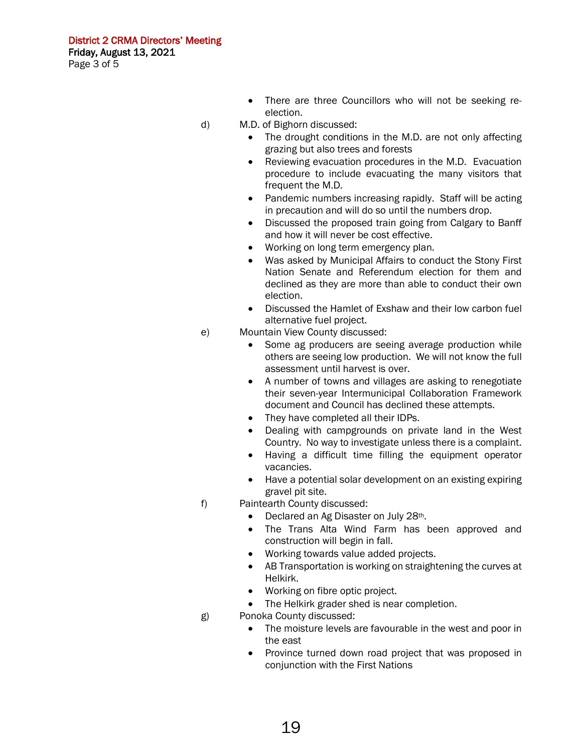- There are three Councillors who will not be seeking reelection.
- d) M.D. of Bighorn discussed:
	- The drought conditions in the M.D. are not only affecting grazing but also trees and forests
	- Reviewing evacuation procedures in the M.D. Evacuation procedure to include evacuating the many visitors that frequent the M.D.
	- Pandemic numbers increasing rapidly. Staff will be acting in precaution and will do so until the numbers drop.
	- Discussed the proposed train going from Calgary to Banff and how it will never be cost effective.
	- Working on long term emergency plan.
	- Was asked by Municipal Affairs to conduct the Stony First Nation Senate and Referendum election for them and declined as they are more than able to conduct their own election.
	- Discussed the Hamlet of Exshaw and their low carbon fuel alternative fuel project.
- e) Mountain View County discussed:
	- Some ag producers are seeing average production while others are seeing low production. We will not know the full assessment until harvest is over.
	- A number of towns and villages are asking to renegotiate their seven-year Intermunicipal Collaboration Framework document and Council has declined these attempts.
	- They have completed all their IDPs.
	- Dealing with campgrounds on private land in the West Country. No way to investigate unless there is a complaint.
	- Having a difficult time filling the equipment operator vacancies.
	- Have a potential solar development on an existing expiring gravel pit site.
- f) Paintearth County discussed:
	- Declared an Ag Disaster on July 28th.
	- The Trans Alta Wind Farm has been approved and construction will begin in fall.
	- Working towards value added projects.
	- AB Transportation is working on straightening the curves at Helkirk.
	- Working on fibre optic project.
	- The Helkirk grader shed is near completion.
- g) Ponoka County discussed:
	- The moisture levels are favourable in the west and poor in the east
	- Province turned down road project that was proposed in conjunction with the First Nations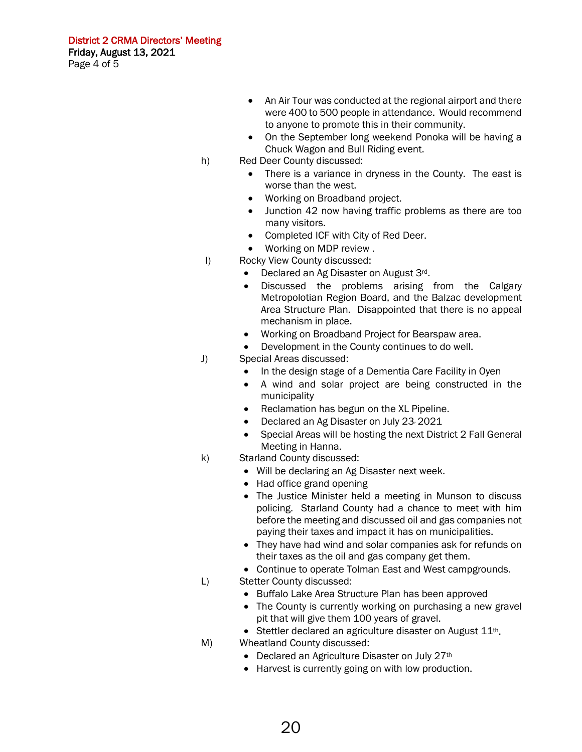- An Air Tour was conducted at the regional airport and there were 400 to 500 people in attendance. Would recommend to anyone to promote this in their community.
- On the September long weekend Ponoka will be having a Chuck Wagon and Bull Riding event.
- h) Red Deer County discussed:
	- There is a variance in dryness in the County. The east is worse than the west.
	- Working on Broadband project.
	- Junction 42 now having traffic problems as there are too many visitors.
	- Completed ICF with City of Red Deer.
	- Working on MDP review .
- I) Rocky View County discussed:
	- Declared an Ag Disaster on August 3<sup>rd</sup>.<br>• Discussed the problems arising
	- Discussed the problems arising from the Calgary Metropolotian Region Board, and the Balzac development Area Structure Plan. Disappointed that there is no appeal mechanism in place.
	- Working on Broadband Project for Bearspaw area.
	- Development in the County continues to do well.
- J) Special Areas discussed:
	- In the design stage of a Dementia Care Facility in Oyen
	- A wind and solar project are being constructed in the municipality
	- Reclamation has begun on the XL Pipeline.
	- Declared an Ag Disaster on July 23, 2021
	- Special Areas will be hosting the next District 2 Fall General Meeting in Hanna.
- k) Starland County discussed:
	- Will be declaring an Ag Disaster next week.
	- Had office grand opening
	- The Justice Minister held a meeting in Munson to discuss policing. Starland County had a chance to meet with him before the meeting and discussed oil and gas companies not paying their taxes and impact it has on municipalities.
	- They have had wind and solar companies ask for refunds on their taxes as the oil and gas company get them.
	- Continue to operate Tolman East and West campgrounds.
- L) Stetter County discussed:
	- Buffalo Lake Area Structure Plan has been approved
	- The County is currently working on purchasing a new gravel pit that will give them 100 years of gravel.
	- Stettler declared an agriculture disaster on August  $11^{th}$ .
- M) Wheatland County discussed:
	- Declared an Agriculture Disaster on July 27th
	- Harvest is currently going on with low production.

20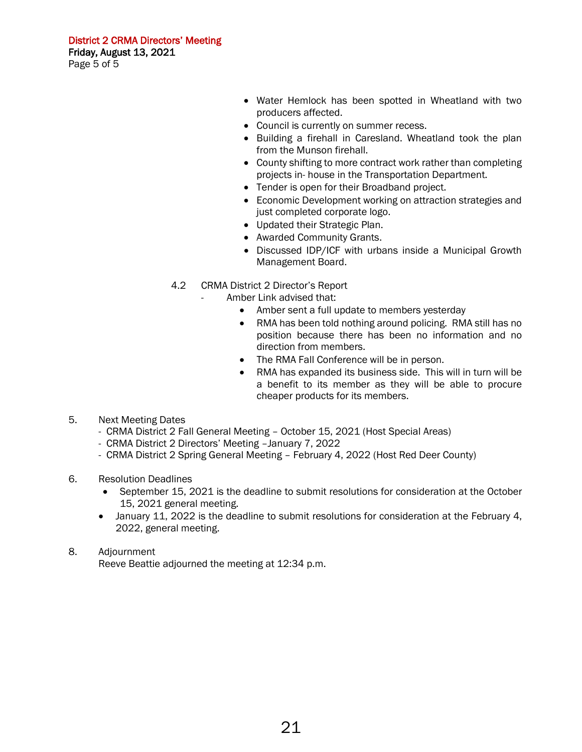District 2 CRMA Directors' Meeting Friday, August 13, 2021 Page 5 of 5

- Water Hemlock has been spotted in Wheatland with two producers affected.
- Council is currently on summer recess.
- Building a firehall in Caresland. Wheatland took the plan from the Munson firehall.
- County shifting to more contract work rather than completing projects in- house in the Transportation Department.
- Tender is open for their Broadband project.
- Economic Development working on attraction strategies and just completed corporate logo.
- Updated their Strategic Plan.
- Awarded Community Grants.
- Discussed IDP/ICF with urbans inside a Municipal Growth Management Board.
- 4.2 CRMA District 2 Director's Report
	- Amber Link advised that:
		- Amber sent a full update to members yesterday
		- RMA has been told nothing around policing. RMA still has no position because there has been no information and no direction from members.
		- The RMA Fall Conference will be in person.
		- RMA has expanded its business side. This will in turn will be a benefit to its member as they will be able to procure cheaper products for its members.
- 5. Next Meeting Dates
	- CRMA District 2 Fall General Meeting October 15, 2021 (Host Special Areas)
	- CRMA District 2 Directors' Meeting –January 7, 2022
	- CRMA District 2 Spring General Meeting February 4, 2022 (Host Red Deer County)
- 6. Resolution Deadlines
	- September 15, 2021 is the deadline to submit resolutions for consideration at the October 15, 2021 general meeting.
	- January 11, 2022 is the deadline to submit resolutions for consideration at the February 4, 2022, general meeting.
- 8. Adjournment

Reeve Beattie adjourned the meeting at 12:34 p.m.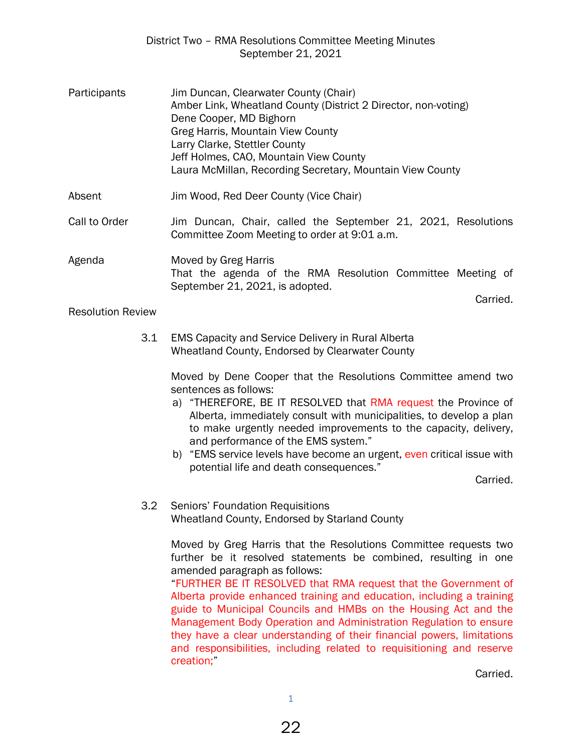## District Two – RMA Resolutions Committee Meeting Minutes September 21, 2021

| Participants             | Jim Duncan, Clearwater County (Chair)<br>Amber Link, Wheatland County (District 2 Director, non-voting)<br>Dene Cooper, MD Bighorn<br>Greg Harris, Mountain View County<br>Larry Clarke, Stettler County<br>Jeff Holmes, CAO, Mountain View County<br>Laura McMillan, Recording Secretary, Mountain View County |
|--------------------------|-----------------------------------------------------------------------------------------------------------------------------------------------------------------------------------------------------------------------------------------------------------------------------------------------------------------|
| Absent                   | Jim Wood, Red Deer County (Vice Chair)                                                                                                                                                                                                                                                                          |
| Call to Order            | Jim Duncan, Chair, called the September 21, 2021, Resolutions<br>Committee Zoom Meeting to order at 9:01 a.m.                                                                                                                                                                                                   |
| Agenda                   | Moved by Greg Harris<br>That the agenda of the RMA Resolution Committee Meeting of<br>September 21, 2021, is adopted.<br>Carried.                                                                                                                                                                               |
| <b>Resolution Review</b> |                                                                                                                                                                                                                                                                                                                 |

3.1 EMS Capacity and Service Delivery in Rural Alberta

Wheatland County, Endorsed by Clearwater County

Moved by Dene Cooper that the Resolutions Committee amend two sentences as follows:

- a) "THEREFORE, BE IT RESOLVED that RMA request the Province of Alberta, immediately consult with municipalities, to develop a plan to make urgently needed improvements to the capacity, delivery, and performance of the EMS system."
- b) "EMS service levels have become an urgent, even critical issue with potential life and death consequences."

Carried.

## 3.2 Seniors' Foundation Requisitions Wheatland County, Endorsed by Starland County

Moved by Greg Harris that the Resolutions Committee requests two further be it resolved statements be combined, resulting in one amended paragraph as follows:

 "FURTHER BE IT RESOLVED that RMA request that the Government of Alberta provide enhanced training and education, including a training guide to Municipal Councils and HMBs on the Housing Act and the Management Body Operation and Administration Regulation to ensure they have a clear understanding of their financial powers, limitations and responsibilities, including related to requisitioning and reserve creation;"

Carried.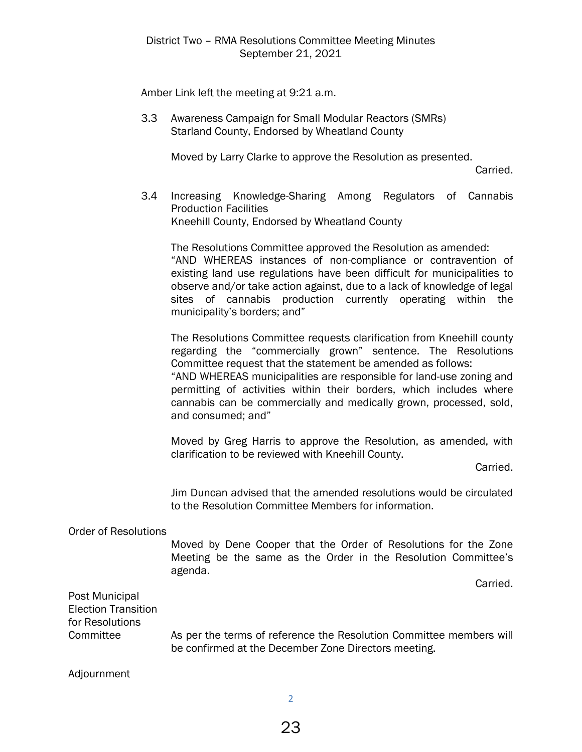Amber Link left the meeting at 9:21 a.m.

3.3 Awareness Campaign for Small Modular Reactors (SMRs) Starland County, Endorsed by Wheatland County

Moved by Larry Clarke to approve the Resolution as presented.

Carried.

3.4 Increasing Knowledge-Sharing Among Regulators of Cannabis Production Facilities Kneehill County, Endorsed by Wheatland County

 The Resolutions Committee approved the Resolution as amended: "AND WHEREAS instances of non-compliance or contravention of existing land use regulations have been difficult *f*or municipalities to observe and/or take action against, due to a lack of knowledge of legal sites of cannabis production currently operating within the municipality's borders; and"

The Resolutions Committee requests clarification from Kneehill county regarding the "commercially grown" sentence. The Resolutions Committee request that the statement be amended as follows:

"AND WHEREAS municipalities are responsible for land-use zoning and permitting of activities within their borders, which includes where cannabis can be commercially and medically grown, processed, sold, and consumed; and"

Moved by Greg Harris to approve the Resolution, as amended, with clarification to be reviewed with Kneehill County.

Carried.

Jim Duncan advised that the amended resolutions would be circulated to the Resolution Committee Members for information.

Order of Resolutions

Moved by Dene Cooper that the Order of Resolutions for the Zone Meeting be the same as the Order in the Resolution Committee's agenda.

Carried.

Post Municipal Election Transition for Resolutions

Committee As per the terms of reference the Resolution Committee members will be confirmed at the December Zone Directors meeting.

Adjournment